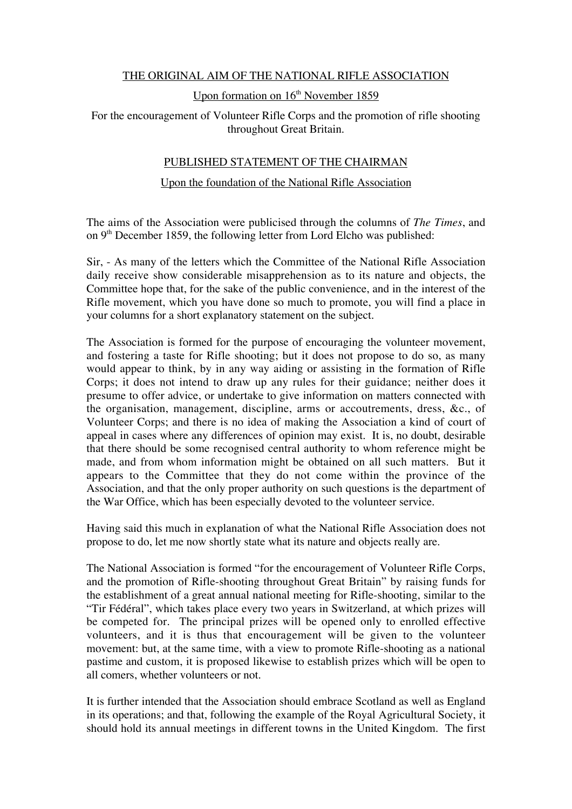## THE ORIGINAL AIM OF THE NATIONAL RIFLE ASSOCIATION

### Upon formation on  $16<sup>th</sup>$  November 1859

# For the encouragement of Volunteer Rifle Corps and the promotion of rifle shooting throughout Great Britain.

## PUBLISHED STATEMENT OF THE CHAIRMAN

### Upon the foundation of the National Rifle Association

The aims of the Association were publicised through the columns of *The Times*, and on  $9<sup>th</sup>$  December 1859, the following letter from Lord Elcho was published:

Sir, - As many of the letters which the Committee of the National Rifle Association daily receive show considerable misapprehension as to its nature and objects, the Committee hope that, for the sake of the public convenience, and in the interest of the Rifle movement, which you have done so much to promote, you will find a place in your columns for a short explanatory statement on the subject.

The Association is formed for the purpose of encouraging the volunteer movement, and fostering a taste for Rifle shooting; but it does not propose to do so, as many would appear to think, by in any way aiding or assisting in the formation of Rifle Corps; it does not intend to draw up any rules for their guidance; neither does it presume to offer advice, or undertake to give information on matters connected with the organisation, management, discipline, arms or accoutrements, dress, &c., of Volunteer Corps; and there is no idea of making the Association a kind of court of appeal in cases where any differences of opinion may exist. It is, no doubt, desirable that there should be some recognised central authority to whom reference might be made, and from whom information might be obtained on all such matters. But it appears to the Committee that they do not come within the province of the Association, and that the only proper authority on such questions is the department of the War Office, which has been especially devoted to the volunteer service.

Having said this much in explanation of what the National Rifle Association does not propose to do, let me now shortly state what its nature and objects really are.

The National Association is formed "for the encouragement of Volunteer Rifle Corps, and the promotion of Rifle-shooting throughout Great Britain" by raising funds for the establishment of a great annual national meeting for Rifle-shooting, similar to the "Tir Fédéral", which takes place every two years in Switzerland, at which prizes will be competed for. The principal prizes will be opened only to enrolled effective volunteers, and it is thus that encouragement will be given to the volunteer movement: but, at the same time, with a view to promote Rifle-shooting as a national pastime and custom, it is proposed likewise to establish prizes which will be open to all comers, whether volunteers or not.

It is further intended that the Association should embrace Scotland as well as England in its operations; and that, following the example of the Royal Agricultural Society, it should hold its annual meetings in different towns in the United Kingdom. The first